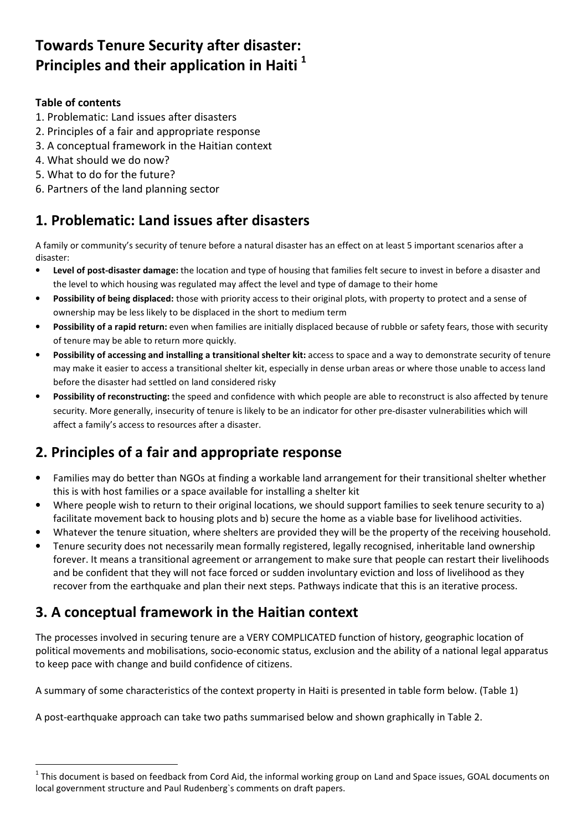## Towards Tenure Security after disaster: Principles and their application in Haiti<sup>1</sup>

#### Table of contents

 $\overline{a}$ 

- 1. Problematic: Land issues after disasters
- 2. Principles of a fair and appropriate response
- 3. A conceptual framework in the Haitian context
- 4. What should we do now?
- 5. What to do for the future?
- 6. Partners of the land planning sector

### 1. Problematic: Land issues after disasters

A family or community's security of tenure before a natural disaster has an effect on at least 5 important scenarios after a disaster:

- Level of post-disaster damage: the location and type of housing that families felt secure to invest in before a disaster and the level to which housing was regulated may affect the level and type of damage to their home
- Possibility of being displaced: those with priority access to their original plots, with property to protect and a sense of ownership may be less likely to be displaced in the short to medium term
- Possibility of a rapid return: even when families are initially displaced because of rubble or safety fears, those with security of tenure may be able to return more quickly.
- Possibility of accessing and installing a transitional shelter kit: access to space and a way to demonstrate security of tenure may make it easier to access a transitional shelter kit, especially in dense urban areas or where those unable to access land before the disaster had settled on land considered risky
- Possibility of reconstructing: the speed and confidence with which people are able to reconstruct is also affected by tenure security. More generally, insecurity of tenure is likely to be an indicator for other pre-disaster vulnerabilities which will affect a family's access to resources after a disaster.

### 2. Principles of a fair and appropriate response

- Families may do better than NGOs at finding a workable land arrangement for their transitional shelter whether this is with host families or a space available for installing a shelter kit
- Where people wish to return to their original locations, we should support families to seek tenure security to a) facilitate movement back to housing plots and b) secure the home as a viable base for livelihood activities.
- Whatever the tenure situation, where shelters are provided they will be the property of the receiving household.
- Tenure security does not necessarily mean formally registered, legally recognised, inheritable land ownership forever. It means a transitional agreement or arrangement to make sure that people can restart their livelihoods and be confident that they will not face forced or sudden involuntary eviction and loss of livelihood as they recover from the earthquake and plan their next steps. Pathways indicate that this is an iterative process.

### 3. A conceptual framework in the Haitian context

The processes involved in securing tenure are a VERY COMPLICATED function of history, geographic location of political movements and mobilisations, socio-economic status, exclusion and the ability of a national legal apparatus to keep pace with change and build confidence of citizens.

A summary of some characteristics of the context property in Haiti is presented in table form below. (Table 1)

A post-earthquake approach can take two paths summarised below and shown graphically in Table 2.

 $^1$  This document is based on feedback from Cord Aid, the informal working group on Land and Space issues, GOAL documents on local government structure and Paul Rudenberg`s comments on draft papers.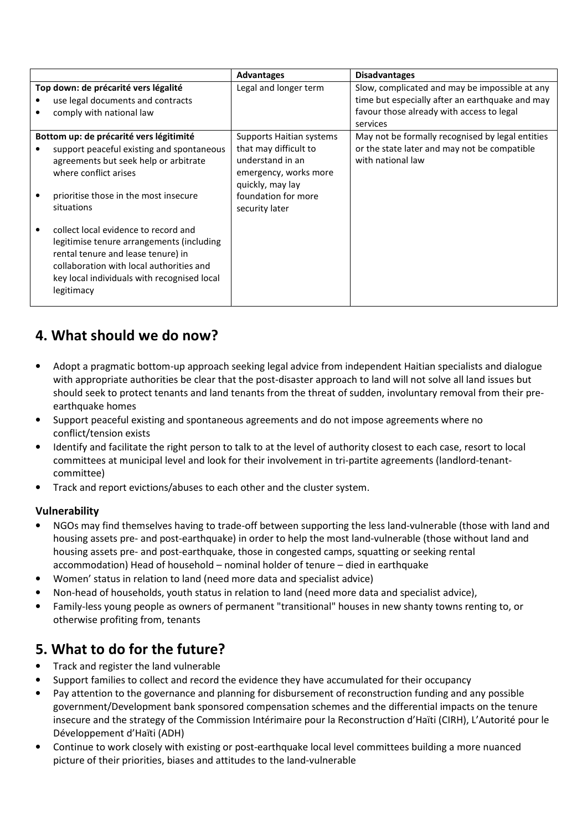|                                         |                                             | <b>Advantages</b>        | <b>Disadvantages</b>                             |
|-----------------------------------------|---------------------------------------------|--------------------------|--------------------------------------------------|
| Top down: de précarité vers légalité    |                                             | Legal and longer term    | Slow, complicated and may be impossible at any   |
|                                         | use legal documents and contracts           |                          | time but especially after an earthquake and may  |
|                                         | comply with national law                    |                          | favour those already with access to legal        |
|                                         |                                             |                          | services                                         |
| Bottom up: de précarité vers légitimité |                                             | Supports Haitian systems | May not be formally recognised by legal entities |
|                                         | support peaceful existing and spontaneous   | that may difficult to    | or the state later and may not be compatible     |
|                                         | agreements but seek help or arbitrate       | understand in an         | with national law                                |
|                                         | where conflict arises                       | emergency, works more    |                                                  |
|                                         |                                             | quickly, may lay         |                                                  |
|                                         | prioritise those in the most insecure       | foundation for more      |                                                  |
|                                         | situations                                  | security later           |                                                  |
|                                         |                                             |                          |                                                  |
|                                         | collect local evidence to record and        |                          |                                                  |
|                                         | legitimise tenure arrangements (including   |                          |                                                  |
|                                         | rental tenure and lease tenure) in          |                          |                                                  |
|                                         | collaboration with local authorities and    |                          |                                                  |
|                                         | key local individuals with recognised local |                          |                                                  |
|                                         | legitimacy                                  |                          |                                                  |
|                                         |                                             |                          |                                                  |

### 4. What should we do now?

- Adopt a pragmatic bottom-up approach seeking legal advice from independent Haitian specialists and dialogue with appropriate authorities be clear that the post-disaster approach to land will not solve all land issues but should seek to protect tenants and land tenants from the threat of sudden, involuntary removal from their preearthquake homes
- Support peaceful existing and spontaneous agreements and do not impose agreements where no conflict/tension exists
- Identify and facilitate the right person to talk to at the level of authority closest to each case, resort to local committees at municipal level and look for their involvement in tri-partite agreements (landlord-tenantcommittee)
- Track and report evictions/abuses to each other and the cluster system.

#### Vulnerability

- NGOs may find themselves having to trade-off between supporting the less land-vulnerable (those with land and housing assets pre- and post-earthquake) in order to help the most land-vulnerable (those without land and housing assets pre- and post-earthquake, those in congested camps, squatting or seeking rental accommodation) Head of household – nominal holder of tenure – died in earthquake
- Women' status in relation to land (need more data and specialist advice)
- Non-head of households, youth status in relation to land (need more data and specialist advice),
- Family-less young people as owners of permanent "transitional" houses in new shanty towns renting to, or otherwise profiting from, tenants

### 5. What to do for the future?

- Track and register the land vulnerable
- Support families to collect and record the evidence they have accumulated for their occupancy
- Pay attention to the governance and planning for disbursement of reconstruction funding and any possible government/Development bank sponsored compensation schemes and the differential impacts on the tenure insecure and the strategy of the Commission Intérimaire pour la Reconstruction d'Haïti (CIRH), L'Autorité pour le Développement d'Haïti (ADH)
- Continue to work closely with existing or post-earthquake local level committees building a more nuanced picture of their priorities, biases and attitudes to the land-vulnerable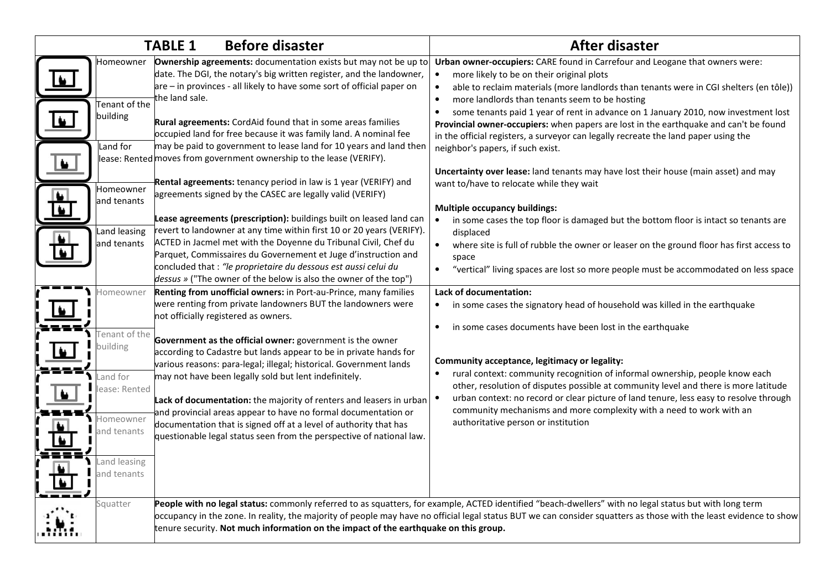|                                                                                                                                                                                                                     | <b>Before disaster</b><br><b>TABLE 1</b>                                                                                                                                                                                                                                                                                                                                                                                                                                                                                                                                                                                                                                                                                                                                                                                                                                                                                                                                                                                                                                                                                                                                                                                                                                                                                                                                                                                                                                                                                     | <b>After disaster</b>                                                                                                                                                                                                                                                                                                                                                                                                                                                                                                                                                                                                                                                                                                                                                                                                                                                                                                                                                                                                                                                                                                                                                                                                                                                                                                                                                                       |
|---------------------------------------------------------------------------------------------------------------------------------------------------------------------------------------------------------------------|------------------------------------------------------------------------------------------------------------------------------------------------------------------------------------------------------------------------------------------------------------------------------------------------------------------------------------------------------------------------------------------------------------------------------------------------------------------------------------------------------------------------------------------------------------------------------------------------------------------------------------------------------------------------------------------------------------------------------------------------------------------------------------------------------------------------------------------------------------------------------------------------------------------------------------------------------------------------------------------------------------------------------------------------------------------------------------------------------------------------------------------------------------------------------------------------------------------------------------------------------------------------------------------------------------------------------------------------------------------------------------------------------------------------------------------------------------------------------------------------------------------------------|---------------------------------------------------------------------------------------------------------------------------------------------------------------------------------------------------------------------------------------------------------------------------------------------------------------------------------------------------------------------------------------------------------------------------------------------------------------------------------------------------------------------------------------------------------------------------------------------------------------------------------------------------------------------------------------------------------------------------------------------------------------------------------------------------------------------------------------------------------------------------------------------------------------------------------------------------------------------------------------------------------------------------------------------------------------------------------------------------------------------------------------------------------------------------------------------------------------------------------------------------------------------------------------------------------------------------------------------------------------------------------------------|
| Homeowner<br>Tenant of the<br>building<br>$\bullet$<br>Land for<br>$\bullet$<br>Homeowner<br>$\overline{\bullet}$<br>and tenants<br>and leasing<br>and tenants<br>Homeowner<br>Fenant of the<br>building<br>and for | Ownership agreements: documentation exists but may not be up to<br>date. The DGI, the notary's big written register, and the landowner,<br>are – in provinces - all likely to have some sort of official paper on<br>the land sale.<br>Rural agreements: CordAid found that in some areas families<br>occupied land for free because it was family land. A nominal fee<br>may be paid to government to lease land for 10 years and land then<br>lease: Rented moves from government ownership to the lease (VERIFY).<br>Rental agreements: tenancy period in law is 1 year (VERIFY) and<br>agreements signed by the CASEC are legally valid (VERIFY)<br>Lease agreements (prescription): buildings built on leased land can<br>revert to landowner at any time within first 10 or 20 years (VERIFY).<br>ACTED in Jacmel met with the Doyenne du Tribunal Civil, Chef du<br>Parquet, Commissaires du Governement et Juge d'instruction and<br>concluded that: "le proprietaire du dessous est aussi celui du<br>dessus » ("The owner of the below is also the owner of the top")<br>Renting from unofficial owners: in Port-au-Prince, many families<br>were renting from private landowners BUT the landowners were<br>not officially registered as owners.<br>Government as the official owner: government is the owner<br>according to Cadastre but lands appear to be in private hands for<br>various reasons: para-legal; illegal; historical. Government lands<br>may not have been legally sold but lent indefinitely. | Urban owner-occupiers: CARE found in Carrefour and Leogane that owners were:<br>more likely to be on their original plots<br>able to reclaim materials (more landlords than tenants were in CGI shelters (en tôle))<br>$\bullet$<br>more landlords than tenants seem to be hosting<br>$\bullet$<br>some tenants paid 1 year of rent in advance on 1 January 2010, now investment lost<br>Provincial owner-occupiers: when papers are lost in the earthquake and can't be found<br>in the official registers, a surveyor can legally recreate the land paper using the<br>neighbor's papers, if such exist.<br>Uncertainty over lease: land tenants may have lost their house (main asset) and may<br>want to/have to relocate while they wait<br><b>Multiple occupancy buildings:</b><br>in some cases the top floor is damaged but the bottom floor is intact so tenants are<br>displaced<br>where site is full of rubble the owner or leaser on the ground floor has first access to<br>space<br>"vertical" living spaces are lost so more people must be accommodated on less space<br>Lack of documentation:<br>in some cases the signatory head of household was killed in the earthquake<br>in some cases documents have been lost in the earthquake<br>Community acceptance, legitimacy or legality:<br>rural context: community recognition of informal ownership, people know each |
| ease: Rented<br>Homeowner<br>and tenants<br>and leasing<br>and tenants                                                                                                                                              | Lack of documentation: the majority of renters and leasers in urban<br>and provincial areas appear to have no formal documentation or<br>documentation that is signed off at a level of authority that has<br>questionable legal status seen from the perspective of national law.                                                                                                                                                                                                                                                                                                                                                                                                                                                                                                                                                                                                                                                                                                                                                                                                                                                                                                                                                                                                                                                                                                                                                                                                                                           | other, resolution of disputes possible at community level and there is more latitude<br>urban context: no record or clear picture of land tenure, less easy to resolve through<br>community mechanisms and more complexity with a need to work with an<br>authoritative person or institution                                                                                                                                                                                                                                                                                                                                                                                                                                                                                                                                                                                                                                                                                                                                                                                                                                                                                                                                                                                                                                                                                               |
| Squatter                                                                                                                                                                                                            | People with no legal status: commonly referred to as squatters, for example, ACTED identified "beach-dwellers" with no legal status but with long term<br>occupancy in the zone. In reality, the majority of people may have no official legal status BUT we can consider squatters as those with the least evidence to show<br>tenure security. Not much information on the impact of the earthquake on this group.                                                                                                                                                                                                                                                                                                                                                                                                                                                                                                                                                                                                                                                                                                                                                                                                                                                                                                                                                                                                                                                                                                         |                                                                                                                                                                                                                                                                                                                                                                                                                                                                                                                                                                                                                                                                                                                                                                                                                                                                                                                                                                                                                                                                                                                                                                                                                                                                                                                                                                                             |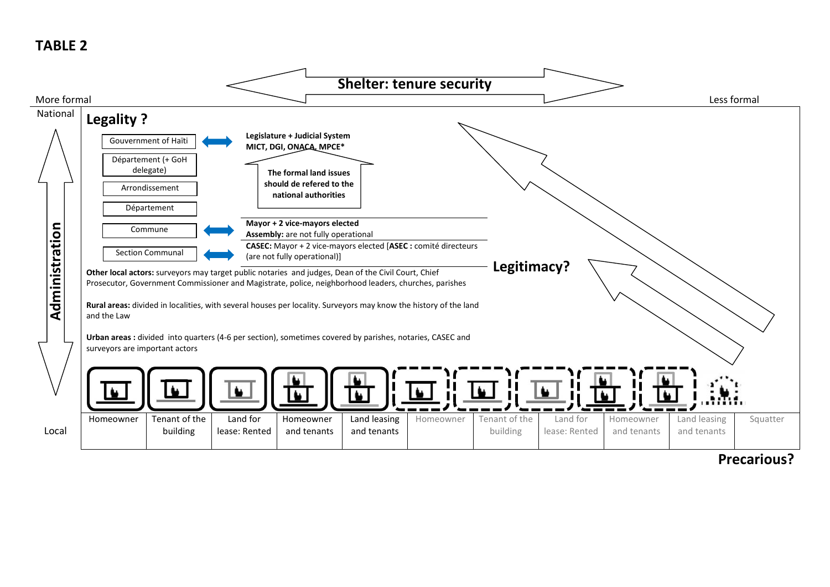### TABLE 2



### Precarious?